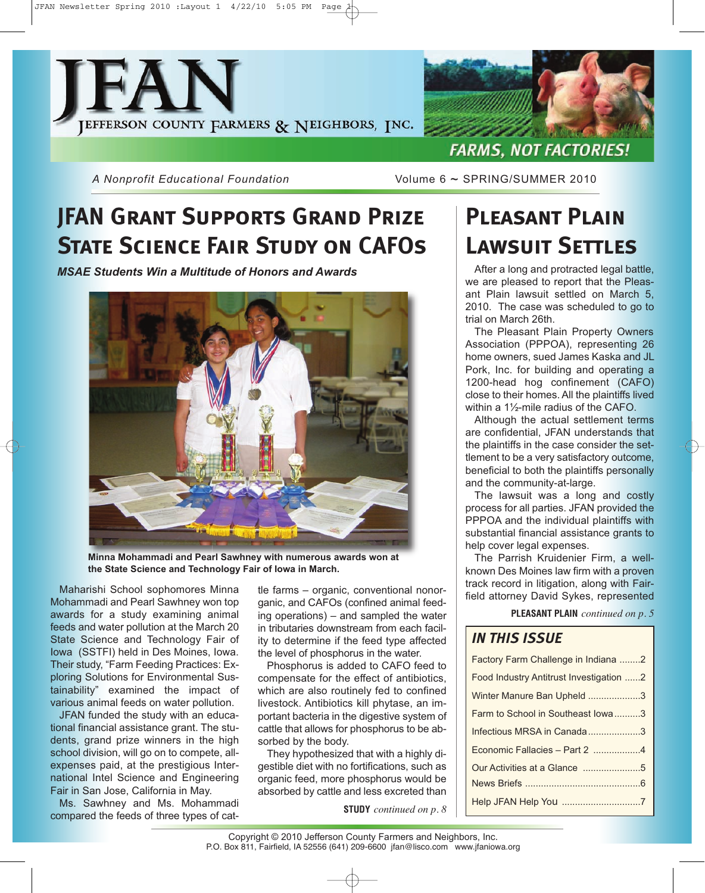



*A Nonprofit Educational Foundation* Volume 6 ~ SPRING/SUMMER 2010

# **JFAN Grant Supports Grand Prize STATE SCIENCE FAIR STUDY ON CAFOS**

*MSAE Students Win a Multitude of Honors and Awards*



**Minna Mohammadi and Pearl Sawhney with numerous awards won at the State Science and Technology Fair of Iowa in March.**

Maharishi School sophomores Minna Mohammadi and Pearl Sawhney won top awards for a study examining animal feeds and water pollution at the March 20 State Science and Technology Fair of Iowa (SSTFI) held in Des Moines, Iowa. Their study, "Farm Feeding Practices: Exploring Solutions for Environmental Sustainability" examined the impact of various animal feeds on water pollution.

JFAN funded the study with an educational financial assistance grant. The students, grand prize winners in the high school division, will go on to compete, allexpenses paid, at the prestigious International Intel Science and Engineering Fair in San Jose, California in May.

Ms. Sawhney and Ms. Mohammadi compared the feeds of three types of cat-

tle farms – organic, conventional nonorganic, and CAFOs (confined animal feeding operations) – and sampled the water in tributaries downstream from each facility to determine if the feed type affected the level of phosphorus in the water.

Phosphorus is added to CAFO feed to compensate for the effect of antibiotics, which are also routinely fed to confined livestock. Antibiotics kill phytase, an important bacteria in the digestive system of cattle that allows for phosphorus to be absorbed by the body.

They hypothesized that with a highly digestible diet with no fortifications, such as organic feed, more phosphorus would be absorbed by cattle and less excreted than

**STUDY** *continued on p. 8*

# **Pleasant Plain Lawsuit Settles**

After a long and protracted legal battle, we are pleased to report that the Pleasant Plain lawsuit settled on March 5, 2010. The case was scheduled to go to trial on March 26th.

The Pleasant Plain Property Owners Association (PPPOA), representing 26 home owners, sued James Kaska and JL Pork, Inc. for building and operating a 1200-head hog confinement (CAFO) close to their homes. All the plaintiffs lived within a 1½-mile radius of the CAFO.

Although the actual settlement terms are confidential, JFAN understands that the plaintiffs in the case consider the settlement to be a very satisfactory outcome, beneficial to both the plaintiffs personally and the community-at-large.

The lawsuit was a long and costly process for all parties. JFAN provided the PPPOA and the individual plaintiffs with substantial financial assistance grants to help cover legal expenses.

The Parrish Kruidenier Firm, a wellknown Des Moines law firm with a proven track record in litigation, along with Fairfield attorney David Sykes, represented

**PLEASANT PLAIN** *continued on p. 5*

### *IN THIS ISSUE*

| Factory Farm Challenge in Indiana 2     |
|-----------------------------------------|
| Food Industry Antitrust Investigation 2 |
| Winter Manure Ban Upheld 3              |
| Farm to School in Southeast Iowa3       |
| Infectious MRSA in Canada3              |
| Economic Fallacies - Part 2 4           |
|                                         |
|                                         |
| Help JFAN Help You 7                    |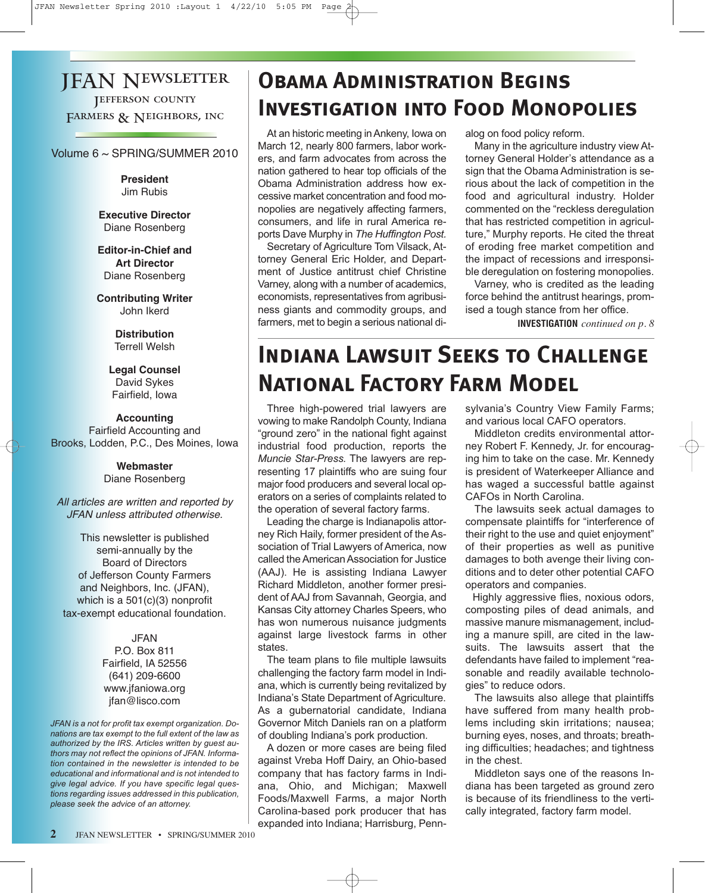### JFAN Newsletter **JEFFERSON COUNTY** FARMERS & NEIGHBORS, INC

Volume 6 ~ SPRING/SUMMER 2010

**President** Jim Rubis

**Executive Director** Diane Rosenberg

**Editor-in-Chief and Art Director** Diane Rosenberg

**Contributing Writer** John Ikerd

> **Distribution** Terrell Welsh

**Legal Counsel** David Sykes Fairfield, Iowa

#### **Accounting** Fairfield Accounting and Brooks, Lodden, P.C., Des Moines, Iowa

#### **Webmaster** Diane Rosenberg

All articles are written and reported by JFAN unless attributed otherwise.

This newsletter is published semi-annually by the Board of Directors of Jefferson County Farmers and Neighbors, Inc. (JFAN), which is a 501(c)(3) nonprofit tax-exempt educational foundation.

> JFAN P.O. Box 811 Fairfield, IA 52556 (641) 209-6600 www.jfaniowa.org jfan@lisco.com

*JFAN is a not for profit tax exempt organization. Donations are tax exempt to the full extent of the law as authorized by the IRS. Articles written by guest authors may not reflect the opinions of JFAN. Information contained in the newsletter is intended to be educational and informational and is not intended to give legal advice. If you have specific legal questions regarding issues addressed in this publication, please seek the advice of an attorney.*

### **Obama Administration Begins Investigation into Food Monopolies**

At an historic meeting in Ankeny, Iowa on March 12, nearly 800 farmers, labor workers, and farm advocates from across the nation gathered to hear top officials of the Obama Administration address how excessive market concentration and food monopolies are negatively affecting farmers, consumers, and life in rural America reports Dave Murphy in *The Huffington Post.*

Secretary of Agriculture Tom Vilsack, Attorney General Eric Holder, and Department of Justice antitrust chief Christine Varney, along with a number of academics, economists, representatives from agribusiness giants and commodity groups, and farmers, met to begin a serious national dialog on food policy reform.

Many in the agriculture industry view Attorney General Holder's attendance as a sign that the Obama Administration is serious about the lack of competition in the food and agricultural industry. Holder commented on the "reckless deregulation that has restricted competition in agriculture," Murphy reports. He cited the threat of eroding free market competition and the impact of recessions and irresponsible deregulation on fostering monopolies.

Varney, who is credited as the leading force behind the antitrust hearings, promised a tough stance from her office.

**INVESTIGATION** *continued on p. 8*

# **Indiana Lawsuit Seeks to Challenge National Factory Farm Model**

Three high-powered trial lawyers are vowing to make Randolph County, Indiana "ground zero" in the national fight against industrial food production, reports the *Muncie Star-Press.* The lawyers are representing 17 plaintiffs who are suing four major food producers and several local operators on a series of complaints related to the operation of several factory farms.

Leading the charge is Indianapolis attorney Rich Haily, former president of the Association of Trial Lawyers of America, now called the American Association for Justice (AAJ). He is assisting Indiana Lawyer Richard Middleton, another former president of AAJ from Savannah, Georgia, and Kansas City attorney Charles Speers, who has won numerous nuisance judgments against large livestock farms in other states.

The team plans to file multiple lawsuits challenging the factory farm model in Indiana, which is currently being revitalized by Indiana's State Department of Agriculture. As a gubernatorial candidate, Indiana Governor Mitch Daniels ran on a platform of doubling Indiana's pork production.

A dozen or more cases are being filed against Vreba Hoff Dairy, an Ohio-based company that has factory farms in Indiana, Ohio, and Michigan; Maxwell Foods/Maxwell Farms, a major North Carolina-based pork producer that has expanded into Indiana; Harrisburg, Pennsylvania's Country View Family Farms; and various local CAFO operators.

Middleton credits environmental attorney Robert F. Kennedy, Jr. for encouraging him to take on the case. Mr. Kennedy is president of Waterkeeper Alliance and has waged a successful battle against CAFOs in North Carolina.

The lawsuits seek actual damages to compensate plaintiffs for "interference of their right to the use and quiet enjoyment" of their properties as well as punitive damages to both avenge their living conditions and to deter other potential CAFO operators and companies.

Highly aggressive flies, noxious odors, composting piles of dead animals, and massive manure mismanagement, including a manure spill, are cited in the lawsuits. The lawsuits assert that the defendants have failed to implement "reasonable and readily available technologies" to reduce odors.

The lawsuits also allege that plaintiffs have suffered from many health problems including skin irritations; nausea; burning eyes, noses, and throats; breathing difficulties; headaches; and tightness in the chest.

Middleton says one of the reasons Indiana has been targeted as ground zero is because of its friendliness to the vertically integrated, factory farm model.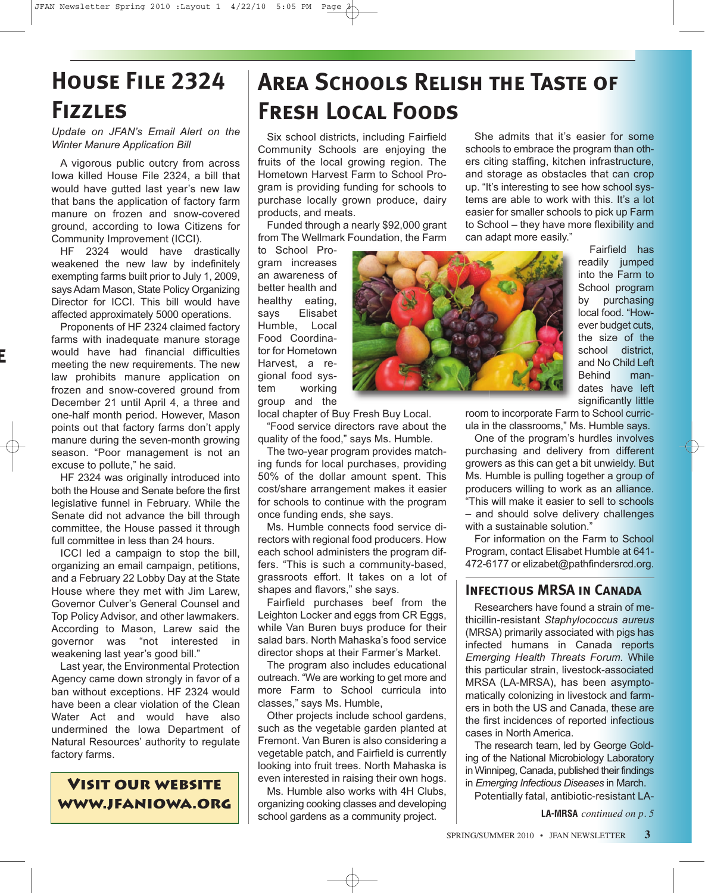# **House File 2324 Fizzles**

*Update on JFAN's Email Alert on the Winter Manure Application Bill*

A vigorous public outcry from across Iowa killed House File 2324, a bill that would have gutted last year's new law that bans the application of factory farm manure on frozen and snow-covered ground, according to Iowa Citizens for Community Improvement (ICCI).

HF 2324 would have drastically weakened the new law by indefinitely exempting farms built prior to July 1, 2009, says Adam Mason, State Policy Organizing Director for ICCI. This bill would have affected approximately 5000 operations.

Proponents of HF 2324 claimed factory farms with inadequate manure storage would have had financial difficulties meeting the new requirements. The new law prohibits manure application on frozen and snow-covered ground from December 21 until April 4, a three and one-half month period. However, Mason points out that factory farms don't apply manure during the seven-month growing season. "Poor management is not an excuse to pollute," he said.

**e**

HF 2324 was originally introduced into both the House and Senate before the first legislative funnel in February. While the Senate did not advance the bill through committee, the House passed it through full committee in less than 24 hours.

ICCI led a campaign to stop the bill, organizing an email campaign, petitions, and a February 22 Lobby Day at the State House where they met with Jim Larew, Governor Culver's General Counsel and Top Policy Advisor, and other lawmakers. According to Mason, Larew said the governor was "not interested in weakening last year's good bill."

Last year, the Environmental Protection Agency came down strongly in favor of a ban without exceptions. HF 2324 would have been a clear violation of the Clean Water Act and would have also undermined the Iowa Department of Natural Resources' authority to regulate factory farms.

### **Visit our website www.jfaniowa.org**

# **Area Schools Relish the Taste of Fresh Local Foods**

Six school districts, including Fairfield Community Schools are enjoying the fruits of the local growing region. The Hometown Harvest Farm to School Program is providing funding for schools to purchase locally grown produce, dairy products, and meats.

Funded through a nearly \$92,000 grant from The Wellmark Foundation, the Farm

"Food service directors rave about the quality of the food," says Ms. Humble. The two-year program provides matching funds for local purchases, providing 50% of the dollar amount spent. This cost/share arrangement makes it easier for schools to continue with the program

Ms. Humble connects food service directors with regional food producers. How each school administers the program differs. "This is such a community-based, grassroots effort. It takes on a lot of

Fairfield purchases beef from the Leighton Locker and eggs from CR Eggs, while Van Buren buys produce for their salad bars. North Mahaska's food service director shops at their Farmer's Market. The program also includes educational outreach. "We are working to get more and more Farm to School curricula into

Other projects include school gardens, such as the vegetable garden planted at Fremont. Van Buren is also considering a vegetable patch, and Fairfield is currently looking into fruit trees. North Mahaska is even interested in raising their own hogs. Ms. Humble also works with 4H Clubs, organizing cooking classes and developing school gardens as a community project.

once funding ends, she says.

shapes and flavors," she says.

classes," says Ms. Humble,

to School Program increases an awareness of better health and healthy eating, says Elisabet Humble, Local Food Coordinator for Hometown Harvest, a regional food system working group and the local chapter of Buy Fresh Buy Local.

She admits that it's easier for some schools to embrace the program than others citing staffing, kitchen infrastructure, and storage as obstacles that can crop up. "It's interesting to see how school systems are able to work with this. It's a lot easier for smaller schools to pick up Farm to School – they have more flexibility and can adapt more easily."

Fairfield has readily jumped into the Farm to School program by purchasing local food. "However budget cuts, the size of the school district, and No Child Left Behind mandates have left significantly little

room to incorporate Farm to School curricula in the classrooms," Ms. Humble says.

One of the program's hurdles involves purchasing and delivery from different growers as this can get a bit unwieldy. But Ms. Humble is pulling together a group of producers willing to work as an alliance. "This will make it easier to sell to schools – and should solve delivery challenges with a sustainable solution."

For information on the Farm to School Program, contact Elisabet Humble at 641- 472-6177 or elizabet@pathfindersrcd.org.

### **Infectious MRSA in Canada**

Researchers have found a strain of methicillin-resistant *Staphylococcus aureus* (MRSA) primarily associated with pigs has infected humans in Canada reports *Emerging Health Threats Forum.* While this particular strain, livestock-associated MRSA (LA-MRSA), has been asymptomatically colonizing in livestock and farmers in both the US and Canada, these are the first incidences of reported infectious cases in North America.

The research team, led by George Golding of the National Microbiology Laboratory in Winnipeg, Canada, published their findings in *Emerging Infectious Diseases* in March.

Potentially fatal, antibiotic-resistant LA-

**LA-MRSA** *continued on p. 5*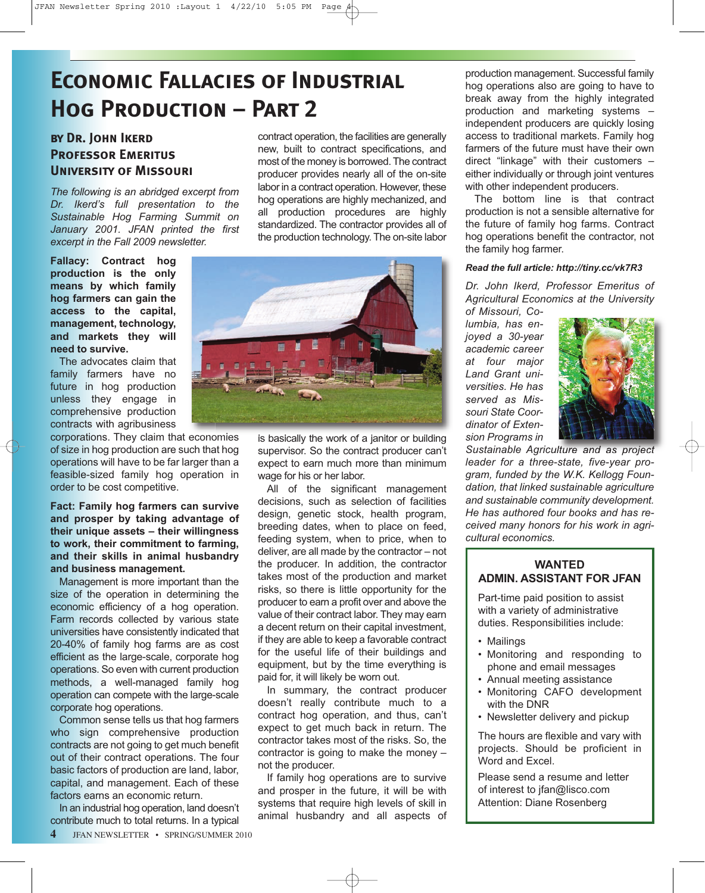# **Economic Fallacies of Industrial Hog Production – Part 2**

### **by Dr. John Ikerd Professor Emeritus University of Missouri**

*The following is an abridged excerpt from Dr. Ikerd's full presentation to the Sustainable Hog Farming Summit on January 2001. JFAN printed the first excerpt in the Fall 2009 newsletter.*

**Fallacy: Contract hog production is the only means by which family hog farmers can gain the access to the capital, management, technology, and markets they will need to survive.**

The advocates claim that family farmers have no future in hog production unless they engage in comprehensive production contracts with agribusiness

corporations. They claim that economies of size in hog production are such that hog operations will have to be far larger than a feasible-sized family hog operation in order to be cost competitive.

**Fact: Family hog farmers can survive and prosper by taking advantage of their unique assets – their willingness to work, their commitment to farming, and their skills in animal husbandry and business management.**

Management is more important than the size of the operation in determining the economic efficiency of a hog operation. Farm records collected by various state universities have consistently indicated that 20-40% of family hog farms are as cost efficient as the large-scale, corporate hog operations. So even with current production methods, a well-managed family hog operation can compete with the large-scale corporate hog operations.

Common sense tells us that hog farmers who sign comprehensive production contracts are not going to get much benefit out of their contract operations. The four basic factors of production are land, labor, capital, and management. Each of these factors earns an economic return.

In an industrial hog operation, land doesn't contribute much to total returns. In a typical

**JFAN NEWSLETTER • SPRING/SUMMER 2010** 

contract operation, the facilities are generally new, built to contract specifications, and most of the money is borrowed. The contract producer provides nearly all of the on-site labor in a contract operation. However, these hog operations are highly mechanized, and all production procedures are highly standardized. The contractor provides all of the production technology. The on-site labor



is basically the work of a janitor or building supervisor. So the contract producer can't expect to earn much more than minimum wage for his or her labor.

All of the significant management decisions, such as selection of facilities design, genetic stock, health program, breeding dates, when to place on feed, feeding system, when to price, when to deliver, are all made by the contractor – not the producer. In addition, the contractor takes most of the production and market risks, so there is little opportunity for the producer to earn a profit over and above the value of their contract labor. They may earn a decent return on their capital investment, if they are able to keep a favorable contract for the useful life of their buildings and equipment, but by the time everything is paid for, it will likely be worn out.

In summary, the contract producer doesn't really contribute much to a contract hog operation, and thus, can't expect to get much back in return. The contractor takes most of the risks. So, the contractor is going to make the money – not the producer.

If family hog operations are to survive and prosper in the future, it will be with systems that require high levels of skill in animal husbandry and all aspects of

production management. Successful family hog operations also are going to have to break away from the highly integrated production and marketing systems – independent producers are quickly losing access to traditional markets. Family hog farmers of the future must have their own direct "linkage" with their customers – either individually or through joint ventures with other independent producers.

The bottom line is that contract production is not a sensible alternative for the future of family hog farms. Contract hog operations benefit the contractor, not the family hog farmer.

#### *Read the full article: http://tiny.cc/vk7R3*

*Dr. John Ikerd, Professor Emeritus of Agricultural Economics at the University of Missouri, Co-*

*lumbia, has enjoyed a 30-year academic career at four major Land Grant universities. He has served as Missouri State Coordinator of Extension Programs in*



*Sustainable Agriculture and as project leader for a three-state, five-year program, funded by the W.K. Kellogg Foundation, that linked sustainable agriculture and sustainable community development. He has authored four books and has received many honors for his work in agricultural economics.*

#### **WANTED ADMIN. ASSISTANT FOR JFAN**

Part-time paid position to assist with a variety of administrative duties. Responsibilities include:

- Mailings
- Monitoring and responding to phone and email messages
- Annual meeting assistance
- Monitoring CAFO development with the DNR
- Newsletter delivery and pickup

The hours are flexible and vary with projects. Should be proficient in Word and Excel.

Please send a resume and letter of interest to jfan@lisco.com Attention: Diane Rosenberg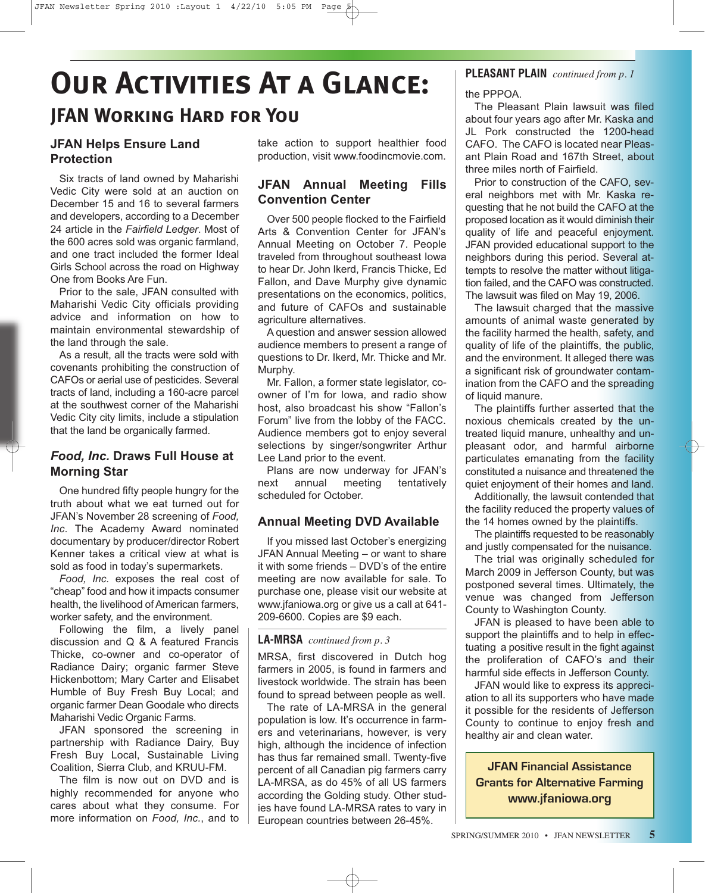# **Our Activities At a Glance: JFAN Working Hard for You**

### **JFAN Helps Ensure Land Protection**

Six tracts of land owned by Maharishi Vedic City were sold at an auction on December 15 and 16 to several farmers and developers, according to a December 24 article in the *Fairfield Ledger*. Most of the 600 acres sold was organic farmland, and one tract included the former Ideal Girls School across the road on Highway One from Books Are Fun.

Prior to the sale, JFAN consulted with Maharishi Vedic City officials providing advice and information on how to maintain environmental stewardship of the land through the sale.

As a result, all the tracts were sold with covenants prohibiting the construction of CAFOs or aerial use of pesticides. Several tracts of land, including a 160-acre parcel at the southwest corner of the Maharishi Vedic City city limits, include a stipulation that the land be organically farmed.

### *Food, Inc.* **Draws Full House at Morning Star**

One hundred fifty people hungry for the truth about what we eat turned out for JFAN's November 28 screening of *Food, Inc*. The Academy Award nominated documentary by producer/director Robert Kenner takes a critical view at what is sold as food in today's supermarkets.

*Food, Inc.* exposes the real cost of "cheap" food and how it impacts consumer health, the livelihood of American farmers, worker safety, and the environment.

Following the film, a lively panel discussion and Q & A featured Francis Thicke, co-owner and co-operator of Radiance Dairy; organic farmer Steve Hickenbottom; Mary Carter and Elisabet Humble of Buy Fresh Buy Local; and organic farmer Dean Goodale who directs Maharishi Vedic Organic Farms.

JFAN sponsored the screening in partnership with Radiance Dairy, Buy Fresh Buy Local, Sustainable Living Coalition, Sierra Club, and KRUU-FM.

The film is now out on DVD and is highly recommended for anyone who cares about what they consume. For more information on *Food, Inc.*, and to take action to support healthier food production, visit www.foodincmovie.com.

#### **JFAN Annual Meeting Fills Convention Center**

Over 500 people flocked to the Fairfield Arts & Convention Center for JFAN's Annual Meeting on October 7. People traveled from throughout southeast Iowa to hear Dr. John Ikerd, Francis Thicke, Ed Fallon, and Dave Murphy give dynamic presentations on the economics, politics, and future of CAFOs and sustainable agriculture alternatives.

A question and answer session allowed audience members to present a range of questions to Dr. Ikerd, Mr. Thicke and Mr. Murphy.

Mr. Fallon, a former state legislator, coowner of I'm for Iowa, and radio show host, also broadcast his show "Fallon's Forum" live from the lobby of the FACC. Audience members got to enjoy several selections by singer/songwriter Arthur Lee Land prior to the event.

Plans are now underway for JFAN's next annual meeting tentatively scheduled for October.

#### **Annual Meeting DVD Available**

If you missed last October's energizing JFAN Annual Meeting – or want to share it with some friends – DVD's of the entire meeting are now available for sale. To purchase one, please visit our website at www.jfaniowa.org or give us a call at 641- 209-6600. Copies are \$9 each.

#### **LA-MRSA** *continued from p. 3*

MRSA, first discovered in Dutch hog farmers in 2005, is found in farmers and livestock worldwide. The strain has been found to spread between people as well.

The rate of LA-MRSA in the general population is low. It's occurrence in farmers and veterinarians, however, is very high, although the incidence of infection has thus far remained small. Twenty-five percent of all Canadian pig farmers carry LA-MRSA, as do 45% of all US farmers according the Golding study. Other studies have found LA-MRSA rates to vary in European countries between 26-45%.

#### **PLEASANT PLAIN** *continued from p. 1*

the PPPOA.

The Pleasant Plain lawsuit was filed about four years ago after Mr. Kaska and JL Pork constructed the 1200-head CAFO. The CAFO is located near Pleasant Plain Road and 167th Street, about three miles north of Fairfield.

Prior to construction of the CAFO, several neighbors met with Mr. Kaska requesting that he not build the CAFO at the proposed location as it would diminish their quality of life and peaceful enjoyment. JFAN provided educational support to the neighbors during this period. Several attempts to resolve the matter without litigation failed, and the CAFO was constructed. The lawsuit was filed on May 19, 2006.

The lawsuit charged that the massive amounts of animal waste generated by the facility harmed the health, safety, and quality of life of the plaintiffs, the public, and the environment. It alleged there was a significant risk of groundwater contamination from the CAFO and the spreading of liquid manure.

The plaintiffs further asserted that the noxious chemicals created by the untreated liquid manure, unhealthy and unpleasant odor, and harmful airborne particulates emanating from the facility constituted a nuisance and threatened the quiet enjoyment of their homes and land.

Additionally, the lawsuit contended that the facility reduced the property values of the 14 homes owned by the plaintiffs.

The plaintiffs requested to be reasonably and justly compensated for the nuisance.

The trial was originally scheduled for March 2009 in Jefferson County, but was postponed several times. Ultimately, the venue was changed from Jefferson County to Washington County.

JFAN is pleased to have been able to support the plaintiffs and to help in effectuating a positive result in the fight against the proliferation of CAFO's and their harmful side effects in Jefferson County.

JFAN would like to express its appreciation to all its supporters who have made it possible for the residents of Jefferson County to continue to enjoy fresh and healthy air and clean water.

**JFAN Financial Assistance Grants for Alternative Farming www.jfaniowa.org**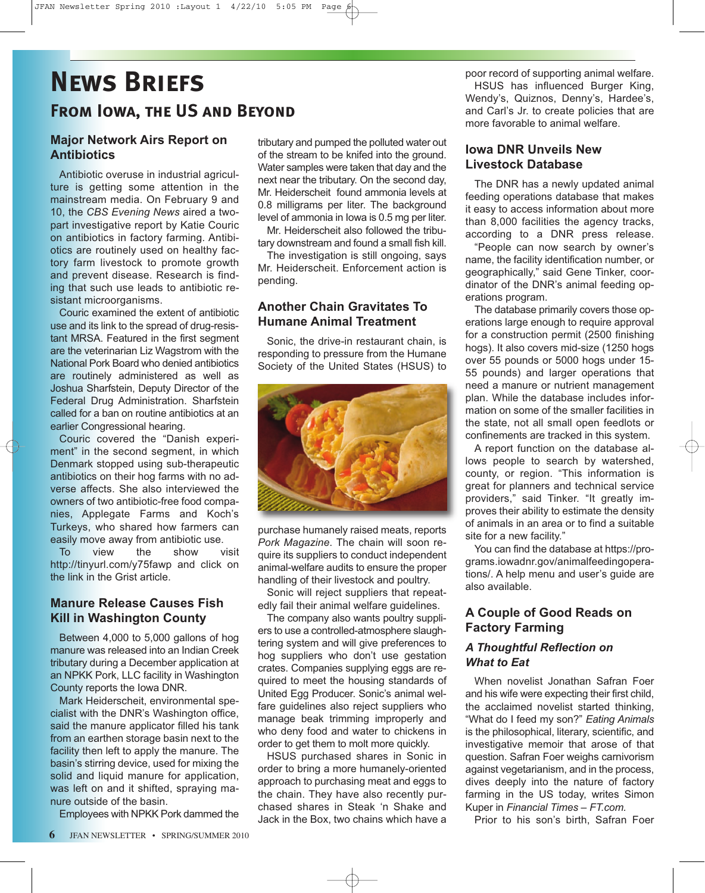## **News Briefs From Iowa, the US and Beyond**

#### **Major Network Airs Report on Antibiotics**

Antibiotic overuse in industrial agriculture is getting some attention in the mainstream media. On February 9 and 10, the *CBS Evening News* aired a twopart investigative report by Katie Couric on antibiotics in factory farming*.* Antibiotics are routinely used on healthy factory farm livestock to promote growth and prevent disease. Research is finding that such use leads to antibiotic resistant microorganisms.

Couric examined the extent of antibiotic use and its link to the spread of drug-resistant MRSA. Featured in the first segment are the veterinarian Liz Wagstrom with the National Pork Board who denied antibiotics are routinely administered as well as Joshua Sharfstein, Deputy Director of the Federal Drug Administration. Sharfstein called for a ban on routine antibiotics at an earlier Congressional hearing.

Couric covered the "Danish experiment" in the second segment, in which Denmark stopped using sub-therapeutic antibiotics on their hog farms with no adverse affects. She also interviewed the owners of two antibiotic-free food companies, Applegate Farms and Koch's Turkeys, who shared how farmers can easily move away from antibiotic use.

To view the show visit http://tinyurl.com/y75fawp and click on the link in the Grist article.

### **Manure Release Causes Fish Kill in Washington County**

Between 4,000 to 5,000 gallons of hog manure was released into an Indian Creek tributary during a December application at an NPKK Pork, LLC facility in Washington County reports the Iowa DNR.

Mark Heiderscheit, environmental specialist with the DNR's Washington office, said the manure applicator filled his tank from an earthen storage basin next to the facility then left to apply the manure. The basin's stirring device, used for mixing the solid and liquid manure for application, was left on and it shifted, spraying manure outside of the basin.

Employees with NPKK Pork dammed the

tributary and pumped the polluted water out of the stream to be knifed into the ground. Water samples were taken that day and the next near the tributary. On the second day, Mr. Heiderscheit found ammonia levels at 0.8 milligrams per liter. The background level of ammonia in Iowa is 0.5 mg per liter.

Mr. Heiderscheit also followed the tributary downstream and found a small fish kill.

The investigation is still ongoing, says Mr. Heiderscheit. Enforcement action is pending.

#### **Another Chain Gravitates To Humane Animal Treatment**

Sonic, the drive-in restaurant chain, is responding to pressure from the Humane Society of the United States (HSUS) to



purchase humanely raised meats, reports *Pork Magazine*. The chain will soon require its suppliers to conduct independent animal-welfare audits to ensure the proper handling of their livestock and poultry.

Sonic will reject suppliers that repeatedly fail their animal welfare guidelines.

The company also wants poultry suppliers to use a controlled-atmosphere slaughtering system and will give preferences to hog suppliers who don't use gestation crates. Companies supplying eggs are required to meet the housing standards of United Egg Producer. Sonic's animal welfare guidelines also reject suppliers who manage beak trimming improperly and who deny food and water to chickens in order to get them to molt more quickly.

HSUS purchased shares in Sonic in order to bring a more humanely-oriented approach to purchasing meat and eggs to the chain. They have also recently purchased shares in Steak 'n Shake and Jack in the Box, two chains which have a

poor record of supporting animal welfare. HSUS has influenced Burger King, Wendy's, Quiznos, Denny's, Hardee's, and Carl's Jr. to create policies that are more favorable to animal welfare.

#### **Iowa DNR Unveils New Livestock Database**

The DNR has a newly updated animal feeding operations database that makes it easy to access information about more than 8,000 facilities the agency tracks, according to a DNR press release.

"People can now search by owner's name, the facility identification number, or geographically," said Gene Tinker, coordinator of the DNR's animal feeding operations program.

The database primarily covers those operations large enough to require approval for a construction permit (2500 finishing hogs). It also covers mid-size (1250 hogs over 55 pounds or 5000 hogs under 15- 55 pounds) and larger operations that need a manure or nutrient management plan. While the database includes information on some of the smaller facilities in the state, not all small open feedlots or confinements are tracked in this system.

A report function on the database allows people to search by watershed, county, or region. "This information is great for planners and technical service providers," said Tinker. "It greatly improves their ability to estimate the density of animals in an area or to find a suitable site for a new facility."

You can find the database at https://programs.iowadnr.gov/animalfeedingoperations/. A help menu and user's guide are also available.

### **A Couple of Good Reads on Factory Farming**

#### *A Thoughtful Reflection on What to Eat*

When novelist Jonathan Safran Foer and his wife were expecting their first child, the acclaimed novelist started thinking, "What do I feed my son?" *Eating Animals* is the philosophical, literary, scientific, and investigative memoir that arose of that question. Safran Foer weighs carnivorism against vegetarianism, and in the process, dives deeply into the nature of factory farming in the US today, writes Simon Kuper in *Financial Times – FT.com.*

Prior to his son's birth, Safran Foer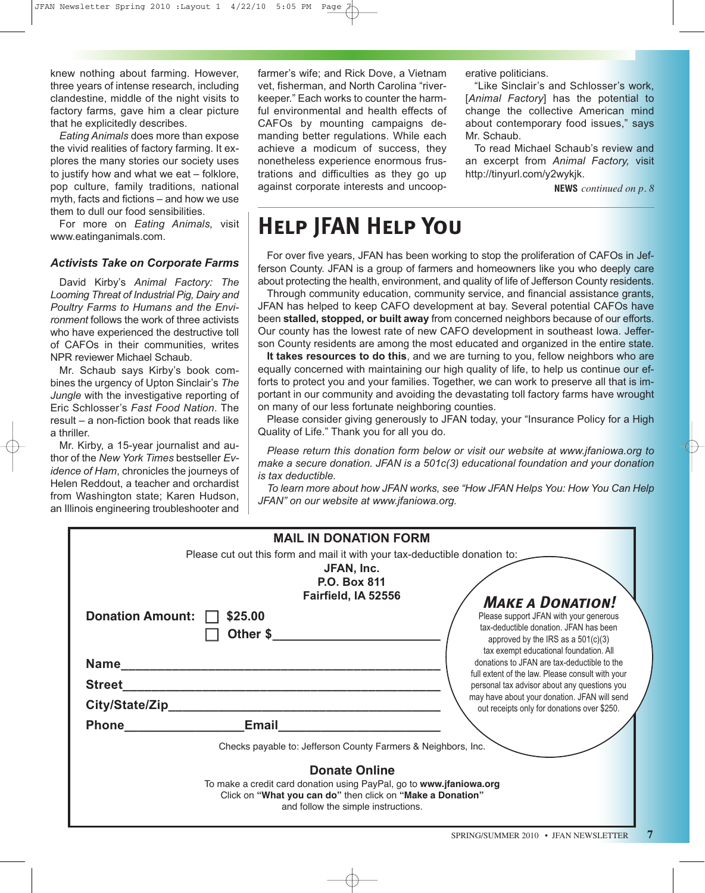knew nothing about farming. However, three years of intense research, including clandestine, middle of the night visits to factory farms, gave him a clear picture that he explicitedly describes.

*Eating Animals* does more than expose the vivid realities of factory farming. It explores the many stories our society uses to justify how and what we eat – folklore, pop culture, family traditions, national myth, facts and fictions – and how we use them to dull our food sensibilities.

For more on *Eating Animals,* visit www.eatinganimals.com.

#### *Activists Take on Corporate Farms*

David Kirby's *Animal Factory: The Looming Threat of Industrial Pig, Dairy and Poultry Farms to Humans and the Environment* follows the work of three activists who have experienced the destructive toll of CAFOs in their communities, writes NPR reviewer Michael Schaub.

Mr. Schaub says Kirby's book combines the urgency of Upton Sinclair's *The Jungle* with the investigative reporting of Eric Schlosser's *Fast Food Nation*. The result – a non-fiction book that reads like a thriller.

Mr. Kirby, a 15-year journalist and author of the *New York Times* bestseller *Evidence of Ham*, chronicles the journeys of Helen Reddout, a teacher and orchardist from Washington state; Karen Hudson, an Illinois engineering troubleshooter and

farmer's wife; and Rick Dove, a Vietnam vet, fisherman, and North Carolina "riverkeeper." Each works to counter the harmful environmental and health effects of CAFOs by mounting campaigns demanding better regulations. While each achieve a modicum of success, they nonetheless experience enormous frustrations and difficulties as they go up against corporate interests and uncooperative politicians.

"Like Sinclair's and Schlosser's work, [*Animal Factory*] has the potential to change the collective American mind about contemporary food issues," says Mr. Schaub.

To read Michael Schaub's review and an excerpt from *Animal Factory,* visit http://tinyurl.com/y2wykjk.

**NEWS** *continued on p. 8*

### **Help JFAN Help You**

For over five years, JFAN has been working to stop the proliferation of CAFOs in Jefferson County. JFAN is a group of farmers and homeowners like you who deeply care about protecting the health, environment, and quality of life of Jefferson County residents.

Through community education, community service, and financial assistance grants, JFAN has helped to keep CAFO development at bay. Several potential CAFOs have been **stalled, stopped, or built away** from concerned neighbors because of our efforts. Our county has the lowest rate of new CAFO development in southeast Iowa. Jefferson County residents are among the most educated and organized in the entire state.

**It takes resources to do this**, and we are turning to you, fellow neighbors who are equally concerned with maintaining our high quality of life, to help us continue our efforts to protect you and your families. Together, we can work to preserve all that is important in our community and avoiding the devastating toll factory farms have wrought on many of our less fortunate neighboring counties.

Please consider giving generously to JFAN today, your "Insurance Policy for a High Quality of Life." Thank you for all you do.

*Please return this donation form below or visit our website at www.jfaniowa.org to make a secure donation. JFAN is a 501c(3) educational foundation and your donation is tax deductible.*

*To learn more about how JFAN works, see "How JFAN Helps You: How You Can Help JFAN" on our website at www.jfaniowa.org.*

| <b>MAIL IN DONATION FORM</b>                                               |                                        |                                                                                             |  |
|----------------------------------------------------------------------------|----------------------------------------|---------------------------------------------------------------------------------------------|--|
| Please cut out this form and mail it with your tax-deductible donation to: |                                        |                                                                                             |  |
|                                                                            | JFAN, Inc.                             |                                                                                             |  |
|                                                                            | <b>P.O. Box 811</b>                    |                                                                                             |  |
|                                                                            | Fairfield, IA 52556                    |                                                                                             |  |
|                                                                            |                                        | <b>MAKE A DONATION!</b>                                                                     |  |
| Donation Amount:    <br>\$25.00                                            |                                        | Please support JFAN with your generous                                                      |  |
|                                                                            | tax-deductible donation. JFAN has been |                                                                                             |  |
|                                                                            | Other \$                               | approved by the IRS as a $501(c)(3)$<br>tax exempt educational foundation. All              |  |
| <b>Name</b>                                                                |                                        | donations to JFAN are tax-deductible to the                                                 |  |
|                                                                            |                                        | full extent of the law. Please consult with your                                            |  |
| <b>Street</b>                                                              |                                        | personal tax advisor about any questions you                                                |  |
| City/State/Zip                                                             |                                        | may have about your donation. JFAN will send<br>out receipts only for donations over \$250. |  |
| <b>Phone</b>                                                               | <b>Email</b>                           |                                                                                             |  |
|                                                                            |                                        |                                                                                             |  |
| Checks payable to: Jefferson County Farmers & Neighbors, Inc.              |                                        |                                                                                             |  |
| <b>Donate Online</b>                                                       |                                        |                                                                                             |  |
| To make a credit card donation using PayPal, go to www.jfaniowa.org        |                                        |                                                                                             |  |
| Click on "What you can do" then click on "Make a Donation"                 |                                        |                                                                                             |  |
| and follow the simple instructions.                                        |                                        |                                                                                             |  |
|                                                                            |                                        |                                                                                             |  |